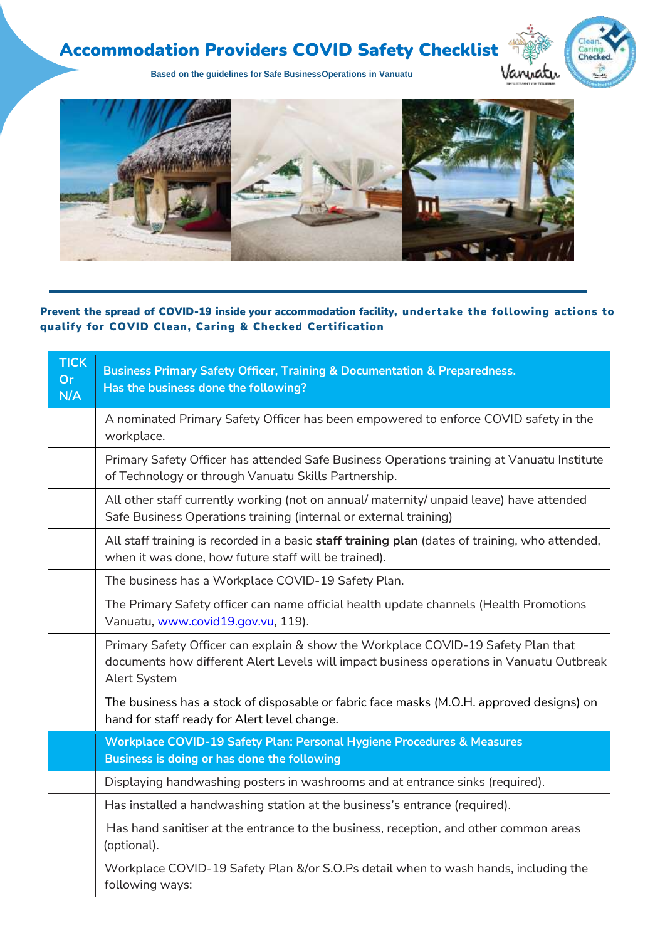## Accommodation Providers COVID Safety Checklist



**Based on the guidelines for Safe BusinessOperations in Vanuatu**



Prevent the spread of COVID-19 inside your accommodation facility, undertake the following actions to qualify for COVID Clean, Caring & Checked Certification

| <b>TICK</b><br><b>Or</b><br>N/A | <b>Business Primary Safety Officer, Training &amp; Documentation &amp; Preparedness.</b><br>Has the business done the following?                                                              |
|---------------------------------|-----------------------------------------------------------------------------------------------------------------------------------------------------------------------------------------------|
|                                 | A nominated Primary Safety Officer has been empowered to enforce COVID safety in the<br>workplace.                                                                                            |
|                                 | Primary Safety Officer has attended Safe Business Operations training at Vanuatu Institute<br>of Technology or through Vanuatu Skills Partnership.                                            |
|                                 | All other staff currently working (not on annual/ maternity/ unpaid leave) have attended<br>Safe Business Operations training (internal or external training)                                 |
|                                 | All staff training is recorded in a basic staff training plan (dates of training, who attended,<br>when it was done, how future staff will be trained).                                       |
|                                 | The business has a Workplace COVID-19 Safety Plan.                                                                                                                                            |
|                                 | The Primary Safety officer can name official health update channels (Health Promotions<br>Vanuatu, www.covid19.gov.vu, 119).                                                                  |
|                                 | Primary Safety Officer can explain & show the Workplace COVID-19 Safety Plan that<br>documents how different Alert Levels will impact business operations in Vanuatu Outbreak<br>Alert System |
|                                 | The business has a stock of disposable or fabric face masks (M.O.H. approved designs) on<br>hand for staff ready for Alert level change.                                                      |
|                                 | Workplace COVID-19 Safety Plan: Personal Hygiene Procedures & Measures<br>Business is doing or has done the following                                                                         |
|                                 | Displaying handwashing posters in washrooms and at entrance sinks (required).                                                                                                                 |
|                                 | Has installed a handwashing station at the business's entrance (required).                                                                                                                    |
|                                 | Has hand sanitiser at the entrance to the business, reception, and other common areas<br>(optional).                                                                                          |
|                                 | Workplace COVID-19 Safety Plan &/or S.O.Ps detail when to wash hands, including the<br>following ways:                                                                                        |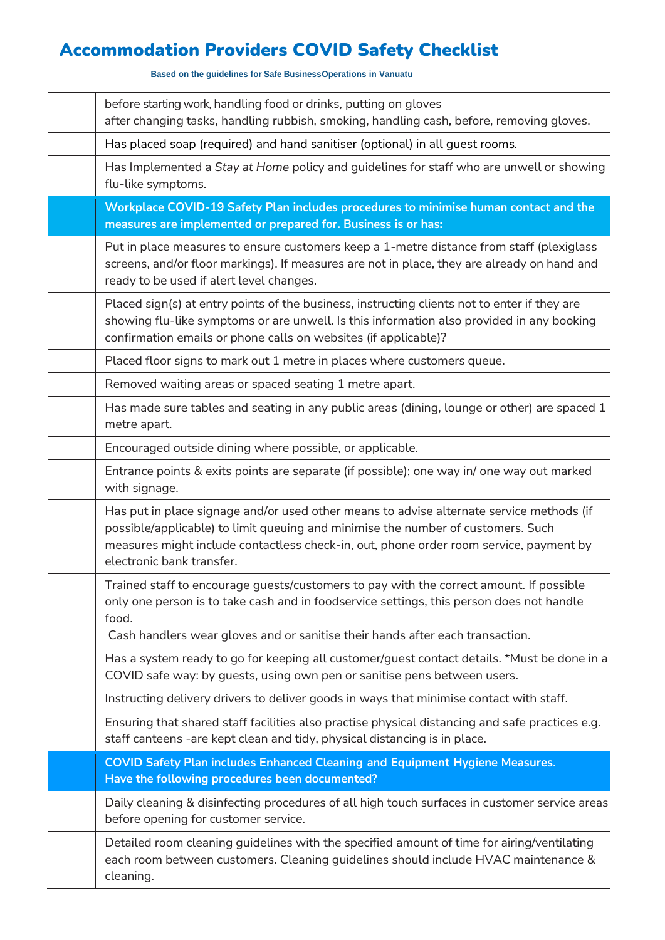## Accommodation Providers COVID Safety Checklist

**Based on the guidelines for Safe BusinessOperations in Vanuatu**

before starting work, handling food or drinks, putting on gloves after changing tasks, handling rubbish, smoking, handling cash, before, removing gloves. Has placed soap (required) and hand sanitiser (optional) in all guest rooms. Has Implemented a *Stay at Home* policy and guidelines for staff who are unwell or showing flu-like symptoms. **Workplace COVID-19 Safety Plan includes procedures to minimise human contact and the measures are implemented or prepared for. Business is or has:** Put in place measures to ensure customers keep a 1-metre distance from staff (plexiglass screens, and/or floor markings). If measures are not in place, they are already on hand and ready to be used if alert level changes. Placed sign(s) at entry points of the business, instructing clients not to enter if they are showing flu-like symptoms or are unwell. Is this information also provided in any booking confirmation emails or phone calls on websites (if applicable)? Placed floor signs to mark out 1 metre in places where customers queue. Removed waiting areas or spaced seating 1 metre apart. Has made sure tables and seating in any public areas (dining, lounge or other) are spaced 1 metre apart. Encouraged outside dining where possible, or applicable. Entrance points & exits points are separate (if possible); one way in/ one way out marked with signage. Has put in place signage and/or used other means to advise alternate service methods (if possible/applicable) to limit queuing and minimise the number of customers. Such measures might include contactless check-in, out, phone order room service, payment by electronic bank transfer. Trained staff to encourage guests/customers to pay with the correct amount. If possible only one person is to take cash and in foodservice settings, this person does not handle food. Cash handlers wear gloves and or sanitise their hands after each transaction. Has a system ready to go for keeping all customer/guest contact details. \*Must be done in a COVID safe way: by guests, using own pen or sanitise pens between users. Instructing delivery drivers to deliver goods in ways that minimise contact with staff. Ensuring that shared staff facilities also practise physical distancing and safe practices e.g. staff canteens -are kept clean and tidy, physical distancing is in place. **COVID Safety Plan includes Enhanced Cleaning and Equipment Hygiene Measures. Have the following procedures been documented?** Daily cleaning & disinfecting procedures of all high touch surfaces in customer service areas before opening for customer service. Detailed room cleaning guidelines with the specified amount of time for airing/ventilating each room between customers. Cleaning guidelines should include HVAC maintenance & cleaning.